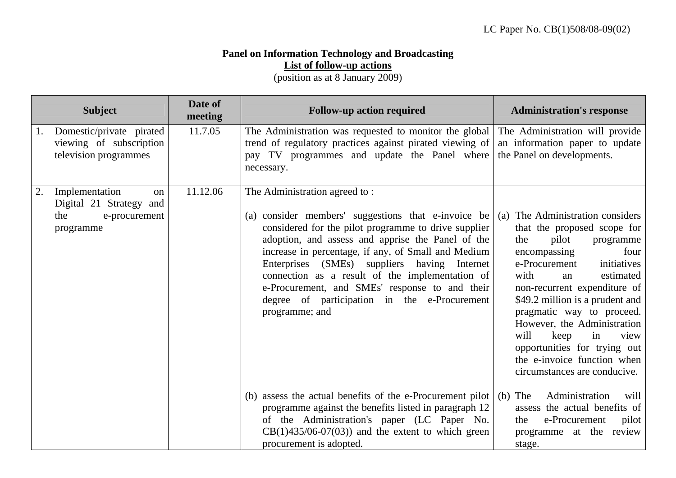## **Panel on Information Technology and Broadcasting List of follow-up actions**

(position as at 8 January 2009)

|    | <b>Subject</b>                                                                       | Date of<br>meeting | <b>Follow-up action required</b>                                                                                                                                                                                                                                                                                                                                                                                                                                                | <b>Administration's response</b>                                                                                                                                                                                                                                                                                                                                                                                                            |
|----|--------------------------------------------------------------------------------------|--------------------|---------------------------------------------------------------------------------------------------------------------------------------------------------------------------------------------------------------------------------------------------------------------------------------------------------------------------------------------------------------------------------------------------------------------------------------------------------------------------------|---------------------------------------------------------------------------------------------------------------------------------------------------------------------------------------------------------------------------------------------------------------------------------------------------------------------------------------------------------------------------------------------------------------------------------------------|
| 1. | Domestic/private pirated<br>viewing of subscription<br>television programmes         | 11.7.05            | The Administration was requested to monitor the global<br>trend of regulatory practices against pirated viewing of<br>pay TV programmes and update the Panel where<br>necessary.                                                                                                                                                                                                                                                                                                | The Administration will provide<br>an information paper to update<br>the Panel on developments.                                                                                                                                                                                                                                                                                                                                             |
| 2. | Implementation<br>on<br>Digital 21 Strategy and<br>the<br>e-procurement<br>programme | 11.12.06           | The Administration agreed to:<br>(a) consider members' suggestions that e-invoice be<br>considered for the pilot programme to drive supplier<br>adoption, and assess and apprise the Panel of the<br>increase in percentage, if any, of Small and Medium<br>Enterprises (SMEs) suppliers having Internet<br>connection as a result of the implementation of<br>e-Procurement, and SMEs' response to and their<br>degree of participation in the e-Procurement<br>programme; and | (a) The Administration considers<br>that the proposed scope for<br>pilot<br>the<br>programme<br>encompassing<br>four<br>e-Procurement<br>initiatives<br>with<br>estimated<br>an<br>non-recurrent expenditure of<br>\$49.2 million is a prudent and<br>pragmatic way to proceed.<br>However, the Administration<br>will<br>keep<br>in<br>view<br>opportunities for trying out<br>the e-invoice function when<br>circumstances are conducive. |
|    |                                                                                      |                    | (b) assess the actual benefits of the e-Procurement pilot<br>programme against the benefits listed in paragraph 12<br>of the Administration's paper (LC Paper No.<br>$CB(1)435/06-07(03))$ and the extent to which green<br>procurement is adopted.                                                                                                                                                                                                                             | Administration<br>$(b)$ The<br>will<br>assess the actual benefits of<br>e-Procurement<br>pilot<br>the<br>programme at the review<br>stage.                                                                                                                                                                                                                                                                                                  |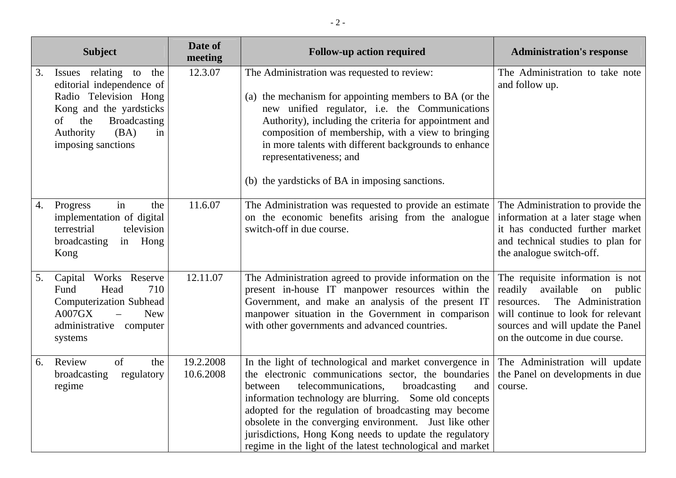| <b>Subject</b>                                                                                                                                                                                     | Date of<br>meeting     | <b>Follow-up action required</b>                                                                                                                                                                                                                                                                                                                                                                                                                                                | <b>Administration's response</b>                                                                                                                                                                                   |
|----------------------------------------------------------------------------------------------------------------------------------------------------------------------------------------------------|------------------------|---------------------------------------------------------------------------------------------------------------------------------------------------------------------------------------------------------------------------------------------------------------------------------------------------------------------------------------------------------------------------------------------------------------------------------------------------------------------------------|--------------------------------------------------------------------------------------------------------------------------------------------------------------------------------------------------------------------|
| Issues relating to the<br>3.<br>editorial independence of<br>Radio Television Hong<br>Kong and the yardsticks<br>the<br><b>Broadcasting</b><br>of<br>(BA)<br>Authority<br>in<br>imposing sanctions | 12.3.07                | The Administration was requested to review:<br>(a) the mechanism for appointing members to BA (or the<br>new unified regulator, i.e. the Communications<br>Authority), including the criteria for appointment and<br>composition of membership, with a view to bringing<br>in more talents with different backgrounds to enhance<br>representativeness; and<br>(b) the yardsticks of BA in imposing sanctions.                                                                  | The Administration to take note<br>and follow up.                                                                                                                                                                  |
| in<br>Progress<br>the<br>4.<br>implementation of digital<br>terrestrial<br>television<br>broadcasting<br>in Hong<br>Kong                                                                           | 11.6.07                | The Administration was requested to provide an estimate<br>on the economic benefits arising from the analogue<br>switch-off in due course.                                                                                                                                                                                                                                                                                                                                      | The Administration to provide the<br>information at a later stage when<br>it has conducted further market<br>and technical studies to plan for<br>the analogue switch-off.                                         |
| Capital Works Reserve<br>5.<br>Head<br>710<br>Fund<br><b>Computerization Subhead</b><br>A007GX<br><b>New</b><br>administrative computer<br>systems                                                 | 12.11.07               | The Administration agreed to provide information on the<br>present in-house IT manpower resources within the<br>Government, and make an analysis of the present IT<br>manpower situation in the Government in comparison<br>with other governments and advanced countries.                                                                                                                                                                                                      | The requisite information is not<br>readily available<br>on public<br>The Administration<br>resources.<br>will continue to look for relevant<br>sources and will update the Panel<br>on the outcome in due course. |
| Review<br>of<br>the<br>6.<br>regulatory<br>broadcasting<br>regime                                                                                                                                  | 19.2.2008<br>10.6.2008 | In the light of technological and market convergence in<br>the electronic communications sector, the boundaries<br>telecommunications,<br>broadcasting<br>between<br>and<br>information technology are blurring. Some old concepts<br>adopted for the regulation of broadcasting may become<br>obsolete in the converging environment. Just like other<br>jurisdictions, Hong Kong needs to update the regulatory<br>regime in the light of the latest technological and market | The Administration will update<br>the Panel on developments in due<br>course.                                                                                                                                      |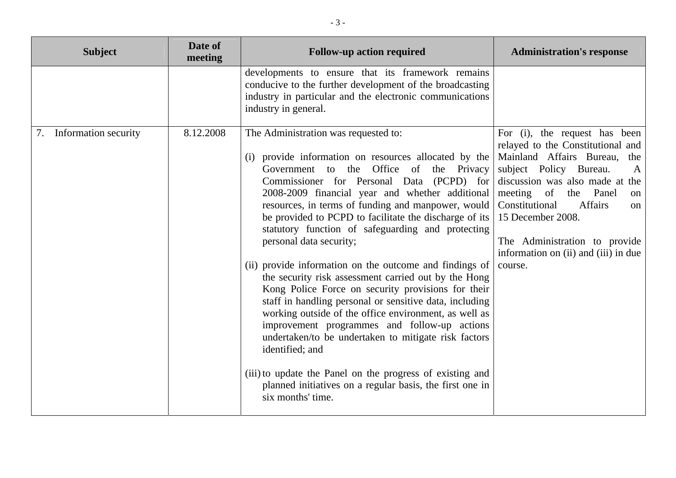| <b>Subject</b>             | Date of<br>meeting | <b>Follow-up action required</b>                                                                                                                                                                                                                                                                                                                                                                                                                                                                                                                                                                                                                                                                                                                                                                                                                                                                                                                                                                               | <b>Administration's response</b>                                                                                                                                                                                                                                                                                                                         |
|----------------------------|--------------------|----------------------------------------------------------------------------------------------------------------------------------------------------------------------------------------------------------------------------------------------------------------------------------------------------------------------------------------------------------------------------------------------------------------------------------------------------------------------------------------------------------------------------------------------------------------------------------------------------------------------------------------------------------------------------------------------------------------------------------------------------------------------------------------------------------------------------------------------------------------------------------------------------------------------------------------------------------------------------------------------------------------|----------------------------------------------------------------------------------------------------------------------------------------------------------------------------------------------------------------------------------------------------------------------------------------------------------------------------------------------------------|
|                            |                    | developments to ensure that its framework remains<br>conducive to the further development of the broadcasting<br>industry in particular and the electronic communications<br>industry in general.                                                                                                                                                                                                                                                                                                                                                                                                                                                                                                                                                                                                                                                                                                                                                                                                              |                                                                                                                                                                                                                                                                                                                                                          |
| Information security<br>7. | 8.12.2008          | The Administration was requested to:<br>(i) provide information on resources allocated by the<br>Government to the Office of the Privacy<br>Commissioner for Personal Data (PCPD) for<br>2008-2009 financial year and whether additional<br>resources, in terms of funding and manpower, would<br>be provided to PCPD to facilitate the discharge of its<br>statutory function of safeguarding and protecting<br>personal data security;<br>(ii) provide information on the outcome and findings of<br>the security risk assessment carried out by the Hong<br>Kong Police Force on security provisions for their<br>staff in handling personal or sensitive data, including<br>working outside of the office environment, as well as<br>improvement programmes and follow-up actions<br>undertaken/to be undertaken to mitigate risk factors<br>identified; and<br>(iii) to update the Panel on the progress of existing and<br>planned initiatives on a regular basis, the first one in<br>six months' time. | For (i), the request has been<br>relayed to the Constitutional and<br>Mainland Affairs Bureau,<br>the<br>subject Policy Bureau.<br>A<br>discussion was also made at the<br>meeting of the Panel<br>on<br>Constitutional<br><b>Affairs</b><br>on<br>15 December 2008.<br>The Administration to provide<br>information on (ii) and (iii) in due<br>course. |